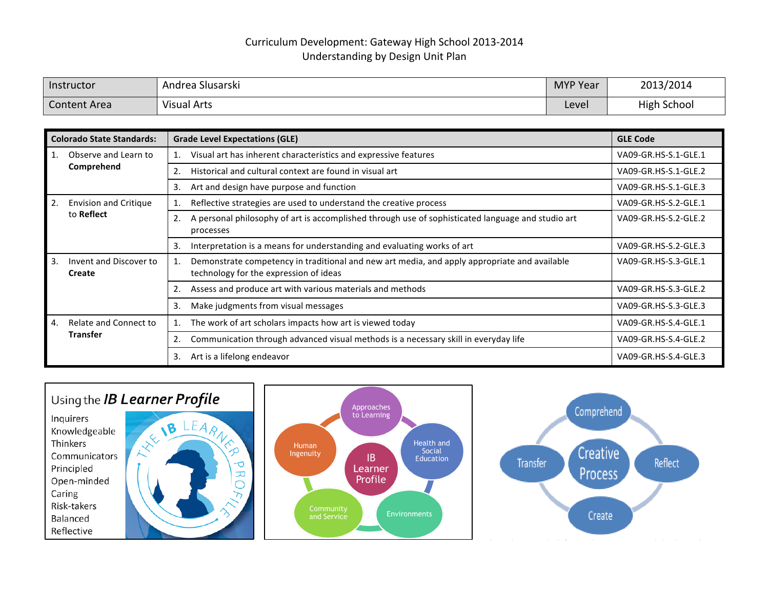## Curriculum Development: Gateway High School 2013-2014 Understanding by Design Unit Plan

| Instructor          | $\sim$ .<br>- Andrea Slusarski | <b>MYP Year</b> | 2013/2014          |
|---------------------|--------------------------------|-----------------|--------------------|
| <b>Content Area</b> | Visual Arts                    | Level           | <b>High School</b> |

| <b>Colorado State Standards:</b>               | <b>Grade Level Expectations (GLE)</b>                                                                                                  | <b>GLE Code</b>      |
|------------------------------------------------|----------------------------------------------------------------------------------------------------------------------------------------|----------------------|
| Observe and Learn to<br>Comprehend             | Visual art has inherent characteristics and expressive features                                                                        | VA09-GR.HS-S.1-GLE.1 |
|                                                | Historical and cultural context are found in visual art<br>2.                                                                          | VA09-GR.HS-S.1-GLE.2 |
|                                                | Art and design have purpose and function<br>3.                                                                                         | VA09-GR.HS-S.1-GLE.3 |
| <b>Envision and Critique</b><br>2.             | Reflective strategies are used to understand the creative process                                                                      | VA09-GR.HS-S.2-GLE.1 |
| to Reflect                                     | A personal philosophy of art is accomplished through use of sophisticated language and studio art<br>2.<br>processes                   | VA09-GR.HS-S.2-GLE.2 |
|                                                | Interpretation is a means for understanding and evaluating works of art<br>3.                                                          | VA09-GR.HS-S.2-GLE.3 |
| Invent and Discover to<br>3.<br>Create         | Demonstrate competency in traditional and new art media, and apply appropriate and available<br>technology for the expression of ideas | VA09-GR.HS-S.3-GLE.1 |
|                                                | Assess and produce art with various materials and methods                                                                              | VA09-GR.HS-S.3-GLE.2 |
|                                                | 3.<br>Make judgments from visual messages                                                                                              | VA09-GR.HS-S.3-GLE.3 |
| Relate and Connect to<br>4.<br><b>Transfer</b> | The work of art scholars impacts how art is viewed today<br>1.                                                                         | VA09-GR.HS-S.4-GLE.1 |
|                                                | Communication through advanced visual methods is a necessary skill in everyday life<br>2.                                              | VA09-GR.HS-S.4-GLE.2 |
|                                                | Art is a lifelong endeavor<br>3.                                                                                                       | VA09-GR.HS-S.4-GLE.3 |

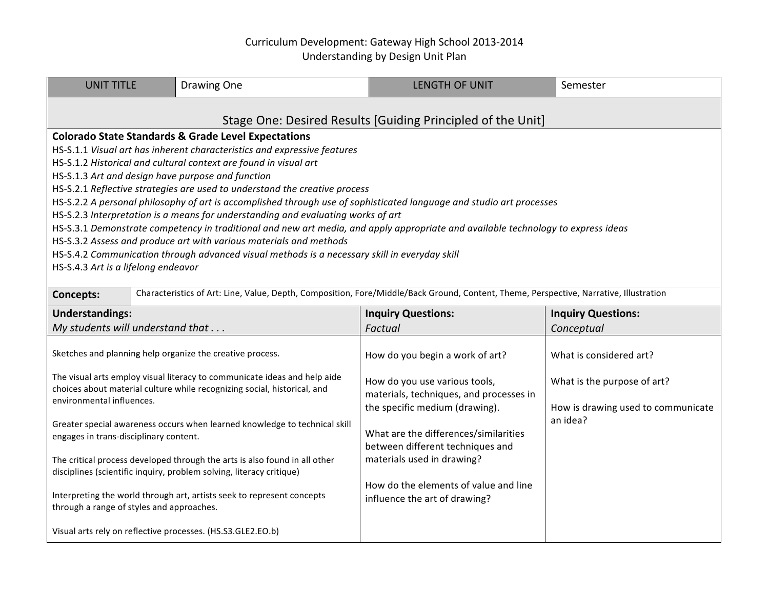## Curriculum Development: Gateway High School 2013-2014 Understanding by Design Unit Plan

| <b>UNIT TITLE</b>                                                                                                                                                                                                                                                                                                                                                                                                                                                                                                                                                                                                                                                                                                                                                                                                                                                                                                |                                                                                                                                        | Drawing One                                                                                                                                           | <b>LENGTH OF UNIT</b>                                                                                      | Semester                                                          |  |  |  |
|------------------------------------------------------------------------------------------------------------------------------------------------------------------------------------------------------------------------------------------------------------------------------------------------------------------------------------------------------------------------------------------------------------------------------------------------------------------------------------------------------------------------------------------------------------------------------------------------------------------------------------------------------------------------------------------------------------------------------------------------------------------------------------------------------------------------------------------------------------------------------------------------------------------|----------------------------------------------------------------------------------------------------------------------------------------|-------------------------------------------------------------------------------------------------------------------------------------------------------|------------------------------------------------------------------------------------------------------------|-------------------------------------------------------------------|--|--|--|
| Stage One: Desired Results [Guiding Principled of the Unit]                                                                                                                                                                                                                                                                                                                                                                                                                                                                                                                                                                                                                                                                                                                                                                                                                                                      |                                                                                                                                        |                                                                                                                                                       |                                                                                                            |                                                                   |  |  |  |
| <b>Colorado State Standards &amp; Grade Level Expectations</b><br>HS-S.1.1 Visual art has inherent characteristics and expressive features<br>HS-S.1.2 Historical and cultural context are found in visual art<br>HS-S.1.3 Art and design have purpose and function<br>HS-S.2.1 Reflective strategies are used to understand the creative process<br>HS-S.2.2 A personal philosophy of art is accomplished through use of sophisticated language and studio art processes<br>HS-S.2.3 Interpretation is a means for understanding and evaluating works of art<br>HS-S.3.1 Demonstrate competency in traditional and new art media, and apply appropriate and available technology to express ideas<br>HS-S.3.2 Assess and produce art with various materials and methods<br>HS-S.4.2 Communication through advanced visual methods is a necessary skill in everyday skill<br>HS-S.4.3 Art is a lifelong endeavor |                                                                                                                                        |                                                                                                                                                       |                                                                                                            |                                                                   |  |  |  |
| Concepts:                                                                                                                                                                                                                                                                                                                                                                                                                                                                                                                                                                                                                                                                                                                                                                                                                                                                                                        | Characteristics of Art: Line, Value, Depth, Composition, Fore/Middle/Back Ground, Content, Theme, Perspective, Narrative, Illustration |                                                                                                                                                       |                                                                                                            |                                                                   |  |  |  |
| <b>Understandings:</b>                                                                                                                                                                                                                                                                                                                                                                                                                                                                                                                                                                                                                                                                                                                                                                                                                                                                                           |                                                                                                                                        | <b>Inquiry Questions:</b>                                                                                                                             | <b>Inquiry Questions:</b>                                                                                  |                                                                   |  |  |  |
| My students will understand that                                                                                                                                                                                                                                                                                                                                                                                                                                                                                                                                                                                                                                                                                                                                                                                                                                                                                 |                                                                                                                                        | Factual                                                                                                                                               | Conceptual                                                                                                 |                                                                   |  |  |  |
| Sketches and planning help organize the creative process.                                                                                                                                                                                                                                                                                                                                                                                                                                                                                                                                                                                                                                                                                                                                                                                                                                                        |                                                                                                                                        |                                                                                                                                                       |                                                                                                            |                                                                   |  |  |  |
|                                                                                                                                                                                                                                                                                                                                                                                                                                                                                                                                                                                                                                                                                                                                                                                                                                                                                                                  |                                                                                                                                        |                                                                                                                                                       | How do you begin a work of art?                                                                            | What is considered art?                                           |  |  |  |
| environmental influences.                                                                                                                                                                                                                                                                                                                                                                                                                                                                                                                                                                                                                                                                                                                                                                                                                                                                                        |                                                                                                                                        | The visual arts employ visual literacy to communicate ideas and help aide<br>choices about material culture while recognizing social, historical, and | How do you use various tools,<br>materials, techniques, and processes in<br>the specific medium (drawing). | What is the purpose of art?<br>How is drawing used to communicate |  |  |  |
| engages in trans-disciplinary content.                                                                                                                                                                                                                                                                                                                                                                                                                                                                                                                                                                                                                                                                                                                                                                                                                                                                           |                                                                                                                                        | Greater special awareness occurs when learned knowledge to technical skill                                                                            | What are the differences/similarities                                                                      | an idea?                                                          |  |  |  |
|                                                                                                                                                                                                                                                                                                                                                                                                                                                                                                                                                                                                                                                                                                                                                                                                                                                                                                                  |                                                                                                                                        | The critical process developed through the arts is also found in all other<br>disciplines (scientific inquiry, problem solving, literacy critique)    | between different techniques and<br>materials used in drawing?                                             |                                                                   |  |  |  |
| through a range of styles and approaches.                                                                                                                                                                                                                                                                                                                                                                                                                                                                                                                                                                                                                                                                                                                                                                                                                                                                        |                                                                                                                                        | Interpreting the world through art, artists seek to represent concepts                                                                                | How do the elements of value and line<br>influence the art of drawing?                                     |                                                                   |  |  |  |